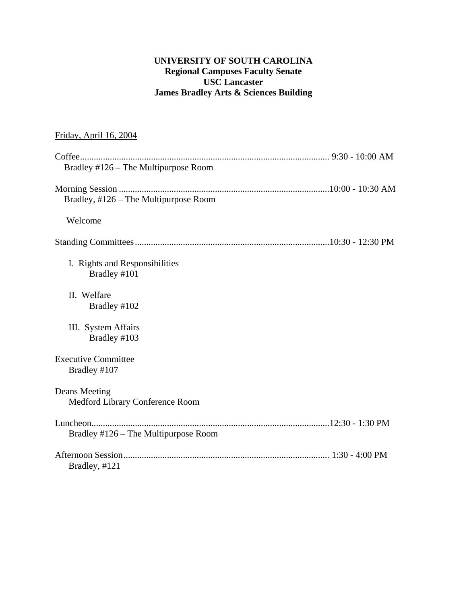# **UNIVERSITY OF SOUTH CAROLINA Regional Campuses Faculty Senate USC Lancaster James Bradley Arts & Sciences Building**

# Friday, April 16, 2004

| Bradley #126 - The Multipurpose Room             |  |
|--------------------------------------------------|--|
|                                                  |  |
| Bradley, #126 - The Multipurpose Room            |  |
| Welcome                                          |  |
|                                                  |  |
| I. Rights and Responsibilities<br>Bradley #101   |  |
| II. Welfare<br>Bradley #102                      |  |
| III. System Affairs<br>Bradley #103              |  |
| <b>Executive Committee</b><br>Bradley #107       |  |
| Deans Meeting<br>Medford Library Conference Room |  |
|                                                  |  |
| Bradley #126 – The Multipurpose Room             |  |
| Bradley, #121                                    |  |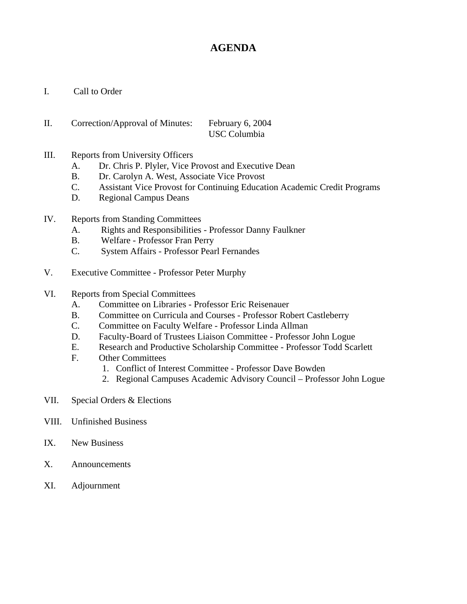# **AGENDA**

- I. Call to Order
- II. Correction/Approval of Minutes: February 6, 2004 USC Columbia
- III. Reports from University Officers
	- A. Dr. Chris P. Plyler, Vice Provost and Executive Dean
	- B. Dr. Carolyn A. West, Associate Vice Provost
	- C. Assistant Vice Provost for Continuing Education Academic Credit Programs
	- D. Regional Campus Deans
- IV. Reports from Standing Committees
	- A. Rights and Responsibilities Professor Danny Faulkner
	- B. Welfare Professor Fran Perry
	- C. System Affairs Professor Pearl Fernandes
- V. Executive Committee Professor Peter Murphy
- VI. Reports from Special Committees
	- A. Committee on Libraries Professor Eric Reisenauer
	- B. Committee on Curricula and Courses Professor Robert Castleberry
	- C. Committee on Faculty Welfare Professor Linda Allman
	- D. Faculty-Board of Trustees Liaison Committee Professor John Logue
	- E. Research and Productive Scholarship Committee Professor Todd Scarlett
	- F. Other Committees
		- 1. Conflict of Interest Committee Professor Dave Bowden
		- 2. Regional Campuses Academic Advisory Council Professor John Logue
- VII. Special Orders & Elections
- VIII. Unfinished Business
- IX. New Business
- X. Announcements
- XI. Adjournment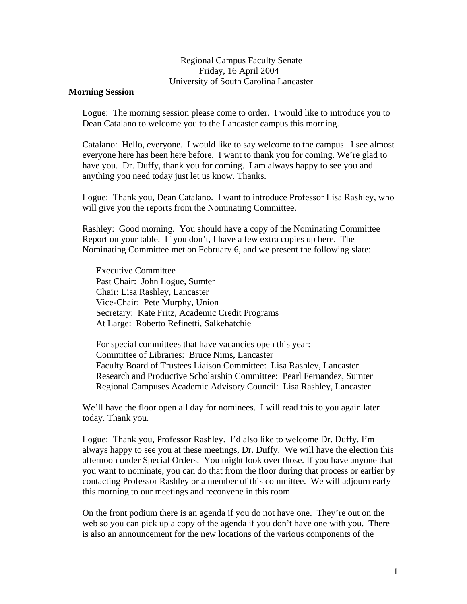### Regional Campus Faculty Senate Friday, 16 April 2004 University of South Carolina Lancaster

#### **Morning Session**

Logue: The morning session please come to order. I would like to introduce you to Dean Catalano to welcome you to the Lancaster campus this morning.

Catalano: Hello, everyone. I would like to say welcome to the campus. I see almost everyone here has been here before. I want to thank you for coming. We're glad to have you. Dr. Duffy, thank you for coming. I am always happy to see you and anything you need today just let us know. Thanks.

Logue: Thank you, Dean Catalano. I want to introduce Professor Lisa Rashley, who will give you the reports from the Nominating Committee.

Rashley: Good morning. You should have a copy of the Nominating Committee Report on your table. If you don't, I have a few extra copies up here. The Nominating Committee met on February 6, and we present the following slate:

Executive Committee Past Chair: John Logue, Sumter Chair: Lisa Rashley, Lancaster Vice-Chair: Pete Murphy, Union Secretary: Kate Fritz, Academic Credit Programs At Large: Roberto Refinetti, Salkehatchie

For special committees that have vacancies open this year: Committee of Libraries: Bruce Nims, Lancaster Faculty Board of Trustees Liaison Committee: Lisa Rashley, Lancaster Research and Productive Scholarship Committee: Pearl Fernandez, Sumter Regional Campuses Academic Advisory Council: Lisa Rashley, Lancaster

We'll have the floor open all day for nominees. I will read this to you again later today. Thank you.

Logue: Thank you, Professor Rashley. I'd also like to welcome Dr. Duffy. I'm always happy to see you at these meetings, Dr. Duffy. We will have the election this afternoon under Special Orders. You might look over those. If you have anyone that you want to nominate, you can do that from the floor during that process or earlier by contacting Professor Rashley or a member of this committee. We will adjourn early this morning to our meetings and reconvene in this room.

On the front podium there is an agenda if you do not have one. They're out on the web so you can pick up a copy of the agenda if you don't have one with you. There is also an announcement for the new locations of the various components of the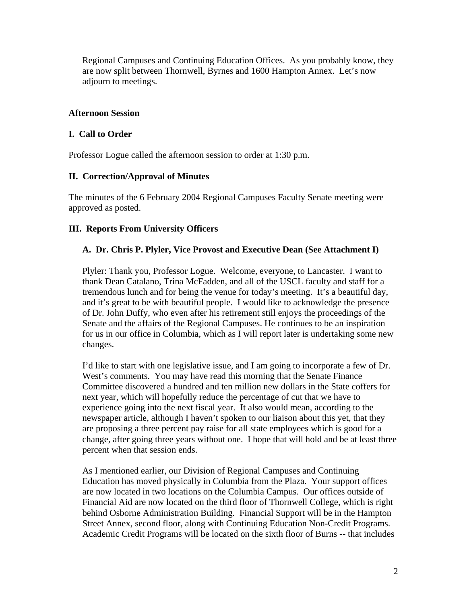Regional Campuses and Continuing Education Offices. As you probably know, they are now split between Thornwell, Byrnes and 1600 Hampton Annex. Let's now adjourn to meetings.

# **Afternoon Session**

## **I. Call to Order**

Professor Logue called the afternoon session to order at 1:30 p.m.

## **II. Correction/Approval of Minutes**

The minutes of the 6 February 2004 Regional Campuses Faculty Senate meeting were approved as posted.

## **III. Reports From University Officers**

## **A. Dr. Chris P. Plyler, Vice Provost and Executive Dean (See Attachment I)**

Plyler: Thank you, Professor Logue. Welcome, everyone, to Lancaster. I want to thank Dean Catalano, Trina McFadden, and all of the USCL faculty and staff for a tremendous lunch and for being the venue for today's meeting. It's a beautiful day, and it's great to be with beautiful people. I would like to acknowledge the presence of Dr. John Duffy, who even after his retirement still enjoys the proceedings of the Senate and the affairs of the Regional Campuses. He continues to be an inspiration for us in our office in Columbia, which as I will report later is undertaking some new changes.

I'd like to start with one legislative issue, and I am going to incorporate a few of Dr. West's comments. You may have read this morning that the Senate Finance Committee discovered a hundred and ten million new dollars in the State coffers for next year, which will hopefully reduce the percentage of cut that we have to experience going into the next fiscal year. It also would mean, according to the newspaper article, although I haven't spoken to our liaison about this yet, that they are proposing a three percent pay raise for all state employees which is good for a change, after going three years without one. I hope that will hold and be at least three percent when that session ends.

As I mentioned earlier, our Division of Regional Campuses and Continuing Education has moved physically in Columbia from the Plaza. Your support offices are now located in two locations on the Columbia Campus. Our offices outside of Financial Aid are now located on the third floor of Thornwell College, which is right behind Osborne Administration Building. Financial Support will be in the Hampton Street Annex, second floor, along with Continuing Education Non-Credit Programs. Academic Credit Programs will be located on the sixth floor of Burns -- that includes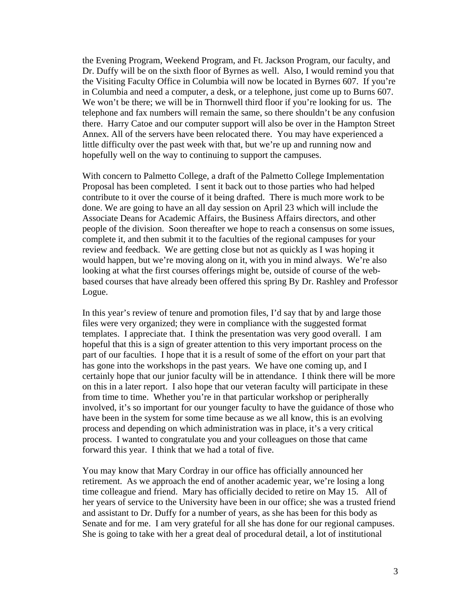the Evening Program, Weekend Program, and Ft. Jackson Program, our faculty, and Dr. Duffy will be on the sixth floor of Byrnes as well. Also, I would remind you that the Visiting Faculty Office in Columbia will now be located in Byrnes 607. If you're in Columbia and need a computer, a desk, or a telephone, just come up to Burns 607. We won't be there; we will be in Thornwell third floor if you're looking for us. The telephone and fax numbers will remain the same, so there shouldn't be any confusion there. Harry Catoe and our computer support will also be over in the Hampton Street Annex. All of the servers have been relocated there. You may have experienced a little difficulty over the past week with that, but we're up and running now and hopefully well on the way to continuing to support the campuses.

With concern to Palmetto College, a draft of the Palmetto College Implementation Proposal has been completed. I sent it back out to those parties who had helped contribute to it over the course of it being drafted. There is much more work to be done. We are going to have an all day session on April 23 which will include the Associate Deans for Academic Affairs, the Business Affairs directors, and other people of the division. Soon thereafter we hope to reach a consensus on some issues, complete it, and then submit it to the faculties of the regional campuses for your review and feedback. We are getting close but not as quickly as I was hoping it would happen, but we're moving along on it, with you in mind always. We're also looking at what the first courses offerings might be, outside of course of the webbased courses that have already been offered this spring By Dr. Rashley and Professor Logue.

In this year's review of tenure and promotion files, I'd say that by and large those files were very organized; they were in compliance with the suggested format templates. I appreciate that. I think the presentation was very good overall. I am hopeful that this is a sign of greater attention to this very important process on the part of our faculties. I hope that it is a result of some of the effort on your part that has gone into the workshops in the past years. We have one coming up, and I certainly hope that our junior faculty will be in attendance. I think there will be more on this in a later report. I also hope that our veteran faculty will participate in these from time to time. Whether you're in that particular workshop or peripherally involved, it's so important for our younger faculty to have the guidance of those who have been in the system for some time because as we all know, this is an evolving process and depending on which administration was in place, it's a very critical process. I wanted to congratulate you and your colleagues on those that came forward this year. I think that we had a total of five.

You may know that Mary Cordray in our office has officially announced her retirement. As we approach the end of another academic year, we're losing a long time colleague and friend. Mary has officially decided to retire on May 15. All of her years of service to the University have been in our office; she was a trusted friend and assistant to Dr. Duffy for a number of years, as she has been for this body as Senate and for me. I am very grateful for all she has done for our regional campuses. She is going to take with her a great deal of procedural detail, a lot of institutional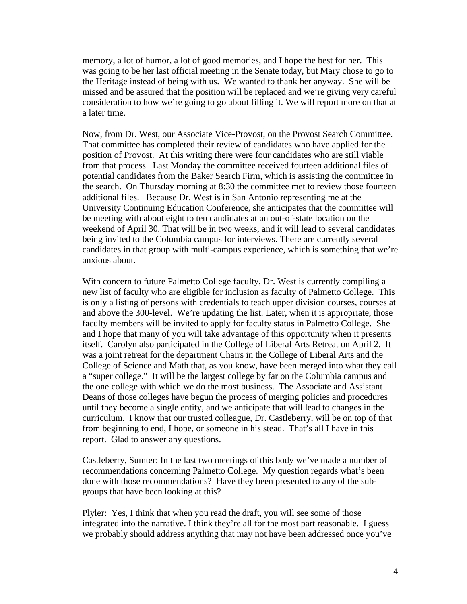memory, a lot of humor, a lot of good memories, and I hope the best for her. This was going to be her last official meeting in the Senate today, but Mary chose to go to the Heritage instead of being with us. We wanted to thank her anyway. She will be missed and be assured that the position will be replaced and we're giving very careful consideration to how we're going to go about filling it. We will report more on that at a later time.

Now, from Dr. West, our Associate Vice-Provost, on the Provost Search Committee. That committee has completed their review of candidates who have applied for the position of Provost. At this writing there were four candidates who are still viable from that process. Last Monday the committee received fourteen additional files of potential candidates from the Baker Search Firm, which is assisting the committee in the search. On Thursday morning at 8:30 the committee met to review those fourteen additional files. Because Dr. West is in San Antonio representing me at the University Continuing Education Conference, she anticipates that the committee will be meeting with about eight to ten candidates at an out-of-state location on the weekend of April 30. That will be in two weeks, and it will lead to several candidates being invited to the Columbia campus for interviews. There are currently several candidates in that group with multi-campus experience, which is something that we're anxious about.

With concern to future Palmetto College faculty, Dr. West is currently compiling a new list of faculty who are eligible for inclusion as faculty of Palmetto College. This is only a listing of persons with credentials to teach upper division courses, courses at and above the 300-level. We're updating the list. Later, when it is appropriate, those faculty members will be invited to apply for faculty status in Palmetto College. She and I hope that many of you will take advantage of this opportunity when it presents itself. Carolyn also participated in the College of Liberal Arts Retreat on April 2. It was a joint retreat for the department Chairs in the College of Liberal Arts and the College of Science and Math that, as you know, have been merged into what they call a "super college." It will be the largest college by far on the Columbia campus and the one college with which we do the most business. The Associate and Assistant Deans of those colleges have begun the process of merging policies and procedures until they become a single entity, and we anticipate that will lead to changes in the curriculum. I know that our trusted colleague, Dr. Castleberry, will be on top of that from beginning to end, I hope, or someone in his stead. That's all I have in this report. Glad to answer any questions.

Castleberry, Sumter: In the last two meetings of this body we've made a number of recommendations concerning Palmetto College. My question regards what's been done with those recommendations? Have they been presented to any of the subgroups that have been looking at this?

Plyler: Yes, I think that when you read the draft, you will see some of those integrated into the narrative. I think they're all for the most part reasonable. I guess we probably should address anything that may not have been addressed once you've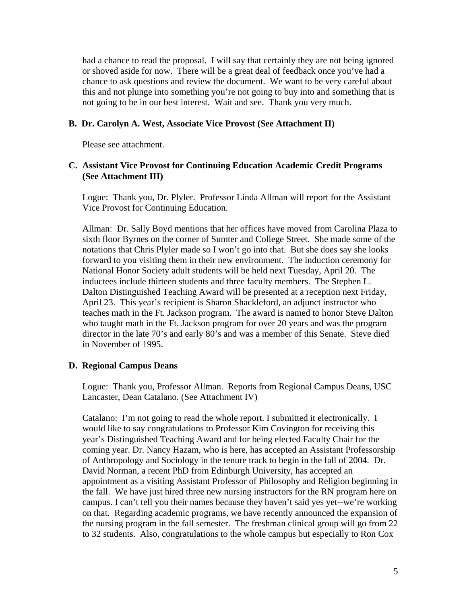had a chance to read the proposal. I will say that certainly they are not being ignored or shoved aside for now. There will be a great deal of feedback once you've had a chance to ask questions and review the document. We want to be very careful about this and not plunge into something you're not going to buy into and something that is not going to be in our best interest. Wait and see. Thank you very much.

### **B. Dr. Carolyn A. West, Associate Vice Provost (See Attachment II)**

Please see attachment.

### **C. Assistant Vice Provost for Continuing Education Academic Credit Programs (See Attachment III)**

Logue: Thank you, Dr. Plyler. Professor Linda Allman will report for the Assistant Vice Provost for Continuing Education.

Allman: Dr. Sally Boyd mentions that her offices have moved from Carolina Plaza to sixth floor Byrnes on the corner of Sumter and College Street. She made some of the notations that Chris Plyler made so I won't go into that. But she does say she looks forward to you visiting them in their new environment. The induction ceremony for National Honor Society adult students will be held next Tuesday, April 20. The inductees include thirteen students and three faculty members. The Stephen L. Dalton Distinguished Teaching Award will be presented at a reception next Friday, April 23. This year's recipient is Sharon Shackleford, an adjunct instructor who teaches math in the Ft. Jackson program. The award is named to honor Steve Dalton who taught math in the Ft. Jackson program for over 20 years and was the program director in the late 70's and early 80's and was a member of this Senate. Steve died in November of 1995.

### **D. Regional Campus Deans**

Logue: Thank you, Professor Allman. Reports from Regional Campus Deans, USC Lancaster, Dean Catalano. (See Attachment IV)

Catalano: I'm not going to read the whole report. I submitted it electronically. I would like to say congratulations to Professor Kim Covington for receiving this year's Distinguished Teaching Award and for being elected Faculty Chair for the coming year. Dr. Nancy Hazam, who is here, has accepted an Assistant Professorship of Anthropology and Sociology in the tenure track to begin in the fall of 2004. Dr. David Norman, a recent PhD from Edinburgh University, has accepted an appointment as a visiting Assistant Professor of Philosophy and Religion beginning in the fall. We have just hired three new nursing instructors for the RN program here on campus. I can't tell you their names because they haven't said yes yet--we're working on that. Regarding academic programs, we have recently announced the expansion of the nursing program in the fall semester. The freshman clinical group will go from 22 to 32 students. Also, congratulations to the whole campus but especially to Ron Cox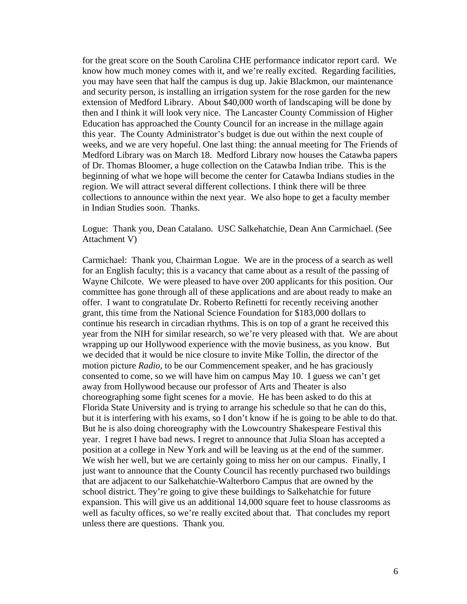for the great score on the South Carolina CHE performance indicator report card. We know how much money comes with it, and we're really excited. Regarding facilities, you may have seen that half the campus is dug up. Jakie Blackmon, our maintenance and security person, is installing an irrigation system for the rose garden for the new extension of Medford Library. About \$40,000 worth of landscaping will be done by then and I think it will look very nice. The Lancaster County Commission of Higher Education has approached the County Council for an increase in the millage again this year. The County Administrator's budget is due out within the next couple of weeks, and we are very hopeful. One last thing: the annual meeting for The Friends of Medford Library was on March 18. Medford Library now houses the Catawba papers of Dr. Thomas Bloomer, a huge collection on the Catawba Indian tribe. This is the beginning of what we hope will become the center for Catawba Indians studies in the region. We will attract several different collections. I think there will be three collections to announce within the next year. We also hope to get a faculty member in Indian Studies soon. Thanks.

Logue: Thank you, Dean Catalano. USC Salkehatchie, Dean Ann Carmichael. (See Attachment V)

Carmichael: Thank you, Chairman Logue. We are in the process of a search as well for an English faculty; this is a vacancy that came about as a result of the passing of Wayne Chilcote. We were pleased to have over 200 applicants for this position. Our committee has gone through all of these applications and are about ready to make an offer. I want to congratulate Dr. Roberto Refinetti for recently receiving another grant, this time from the National Science Foundation for \$183,000 dollars to continue his research in circadian rhythms. This is on top of a grant he received this year from the NIH for similar research, so we're very pleased with that. We are about wrapping up our Hollywood experience with the movie business, as you know. But we decided that it would be nice closure to invite Mike Tollin, the director of the motion picture *Radio*, to be our Commencement speaker, and he has graciously consented to come, so we will have him on campus May 10. I guess we can't get away from Hollywood because our professor of Arts and Theater is also choreographing some fight scenes for a movie. He has been asked to do this at Florida State University and is trying to arrange his schedule so that he can do this, but it is interfering with his exams, so I don't know if he is going to be able to do that. But he is also doing choreography with the Lowcountry Shakespeare Festival this year. I regret I have bad news. I regret to announce that Julia Sloan has accepted a position at a college in New York and will be leaving us at the end of the summer. We wish her well, but we are certainly going to miss her on our campus. Finally, I just want to announce that the County Council has recently purchased two buildings that are adjacent to our Salkehatchie-Walterboro Campus that are owned by the school district. They're going to give these buildings to Salkehatchie for future expansion. This will give us an additional 14,000 square feet to house classrooms as well as faculty offices, so we're really excited about that. That concludes my report unless there are questions. Thank you.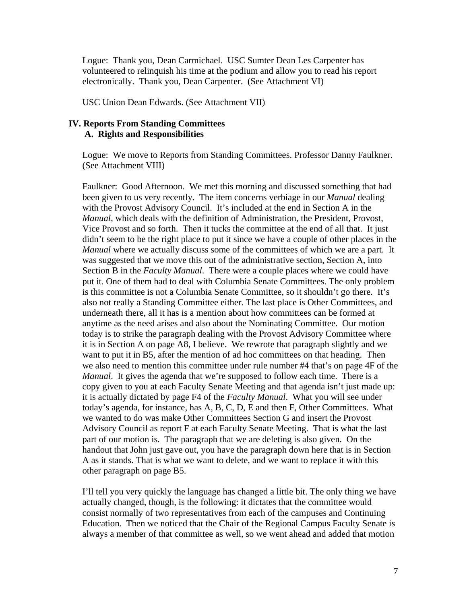Logue: Thank you, Dean Carmichael. USC Sumter Dean Les Carpenter has volunteered to relinquish his time at the podium and allow you to read his report electronically. Thank you, Dean Carpenter. (See Attachment VI)

USC Union Dean Edwards. (See Attachment VII)

### **IV. Reports From Standing Committees A. Rights and Responsibilities**

Logue: We move to Reports from Standing Committees. Professor Danny Faulkner. (See Attachment VIII)

Faulkner: Good Afternoon. We met this morning and discussed something that had been given to us very recently. The item concerns verbiage in our *Manual* dealing with the Provost Advisory Council. It's included at the end in Section A in the *Manual*, which deals with the definition of Administration, the President, Provost, Vice Provost and so forth. Then it tucks the committee at the end of all that. It just didn't seem to be the right place to put it since we have a couple of other places in the *Manual* where we actually discuss some of the committees of which we are a part. It was suggested that we move this out of the administrative section, Section A, into Section B in the *Faculty Manual*. There were a couple places where we could have put it. One of them had to deal with Columbia Senate Committees. The only problem is this committee is not a Columbia Senate Committee, so it shouldn't go there. It's also not really a Standing Committee either. The last place is Other Committees, and underneath there, all it has is a mention about how committees can be formed at anytime as the need arises and also about the Nominating Committee. Our motion today is to strike the paragraph dealing with the Provost Advisory Committee where it is in Section A on page A8, I believe. We rewrote that paragraph slightly and we want to put it in B5, after the mention of ad hoc committees on that heading. Then we also need to mention this committee under rule number #4 that's on page 4F of the *Manual*. It gives the agenda that we're supposed to follow each time. There is a copy given to you at each Faculty Senate Meeting and that agenda isn't just made up: it is actually dictated by page F4 of the *Faculty Manual*. What you will see under today's agenda, for instance, has A, B, C, D, E and then F, Other Committees. What we wanted to do was make Other Committees Section G and insert the Provost Advisory Council as report F at each Faculty Senate Meeting. That is what the last part of our motion is. The paragraph that we are deleting is also given. On the handout that John just gave out, you have the paragraph down here that is in Section A as it stands. That is what we want to delete, and we want to replace it with this other paragraph on page B5.

I'll tell you very quickly the language has changed a little bit. The only thing we have actually changed, though, is the following: it dictates that the committee would consist normally of two representatives from each of the campuses and Continuing Education. Then we noticed that the Chair of the Regional Campus Faculty Senate is always a member of that committee as well, so we went ahead and added that motion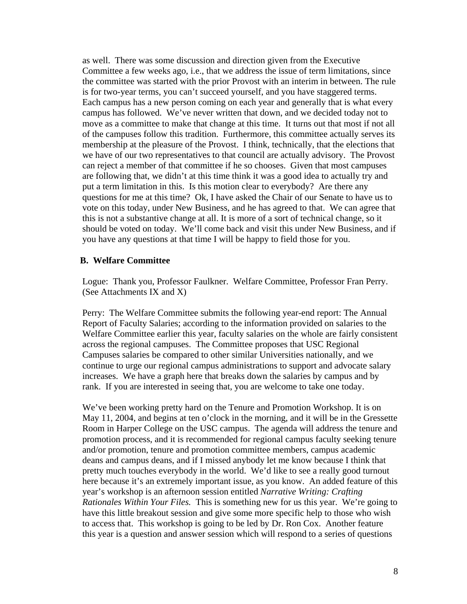as well. There was some discussion and direction given from the Executive Committee a few weeks ago, i.e., that we address the issue of term limitations, since the committee was started with the prior Provost with an interim in between. The rule is for two-year terms, you can't succeed yourself, and you have staggered terms. Each campus has a new person coming on each year and generally that is what every campus has followed. We've never written that down, and we decided today not to move as a committee to make that change at this time. It turns out that most if not all of the campuses follow this tradition. Furthermore, this committee actually serves its membership at the pleasure of the Provost. I think, technically, that the elections that we have of our two representatives to that council are actually advisory. The Provost can reject a member of that committee if he so chooses. Given that most campuses are following that, we didn't at this time think it was a good idea to actually try and put a term limitation in this. Is this motion clear to everybody? Are there any questions for me at this time? Ok, I have asked the Chair of our Senate to have us to vote on this today, under New Business, and he has agreed to that. We can agree that this is not a substantive change at all. It is more of a sort of technical change, so it should be voted on today. We'll come back and visit this under New Business, and if you have any questions at that time I will be happy to field those for you.

#### **B. Welfare Committee**

Logue: Thank you, Professor Faulkner. Welfare Committee, Professor Fran Perry. (See Attachments IX and X)

Perry: The Welfare Committee submits the following year-end report: The Annual Report of Faculty Salaries; according to the information provided on salaries to the Welfare Committee earlier this year, faculty salaries on the whole are fairly consistent across the regional campuses. The Committee proposes that USC Regional Campuses salaries be compared to other similar Universities nationally, and we continue to urge our regional campus administrations to support and advocate salary increases. We have a graph here that breaks down the salaries by campus and by rank. If you are interested in seeing that, you are welcome to take one today.

We've been working pretty hard on the Tenure and Promotion Workshop. It is on May 11, 2004, and begins at ten o'clock in the morning, and it will be in the Gressette Room in Harper College on the USC campus. The agenda will address the tenure and promotion process, and it is recommended for regional campus faculty seeking tenure and/or promotion, tenure and promotion committee members, campus academic deans and campus deans, and if I missed anybody let me know because I think that pretty much touches everybody in the world. We'd like to see a really good turnout here because it's an extremely important issue, as you know. An added feature of this year's workshop is an afternoon session entitled *Narrative Writing: Crafting Rationales Within Your Files.* This is something new for us this year. We're going to have this little breakout session and give some more specific help to those who wish to access that. This workshop is going to be led by Dr. Ron Cox. Another feature this year is a question and answer session which will respond to a series of questions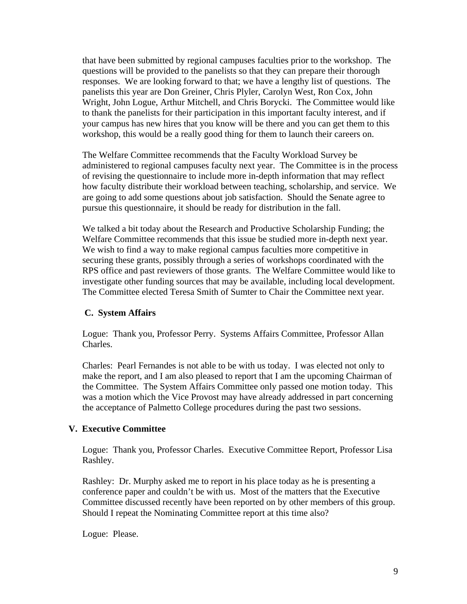that have been submitted by regional campuses faculties prior to the workshop. The questions will be provided to the panelists so that they can prepare their thorough responses. We are looking forward to that; we have a lengthy list of questions. The panelists this year are Don Greiner, Chris Plyler, Carolyn West, Ron Cox, John Wright, John Logue, Arthur Mitchell, and Chris Borycki. The Committee would like to thank the panelists for their participation in this important faculty interest, and if your campus has new hires that you know will be there and you can get them to this workshop, this would be a really good thing for them to launch their careers on.

The Welfare Committee recommends that the Faculty Workload Survey be administered to regional campuses faculty next year. The Committee is in the process of revising the questionnaire to include more in-depth information that may reflect how faculty distribute their workload between teaching, scholarship, and service. We are going to add some questions about job satisfaction. Should the Senate agree to pursue this questionnaire, it should be ready for distribution in the fall.

We talked a bit today about the Research and Productive Scholarship Funding; the Welfare Committee recommends that this issue be studied more in-depth next year. We wish to find a way to make regional campus faculties more competitive in securing these grants, possibly through a series of workshops coordinated with the RPS office and past reviewers of those grants. The Welfare Committee would like to investigate other funding sources that may be available, including local development. The Committee elected Teresa Smith of Sumter to Chair the Committee next year.

# **C. System Affairs**

Logue: Thank you, Professor Perry. Systems Affairs Committee, Professor Allan Charles.

Charles: Pearl Fernandes is not able to be with us today. I was elected not only to make the report, and I am also pleased to report that I am the upcoming Chairman of the Committee. The System Affairs Committee only passed one motion today. This was a motion which the Vice Provost may have already addressed in part concerning the acceptance of Palmetto College procedures during the past two sessions.

### **V. Executive Committee**

Logue: Thank you, Professor Charles. Executive Committee Report, Professor Lisa Rashley.

Rashley: Dr. Murphy asked me to report in his place today as he is presenting a conference paper and couldn't be with us. Most of the matters that the Executive Committee discussed recently have been reported on by other members of this group. Should I repeat the Nominating Committee report at this time also?

Logue: Please.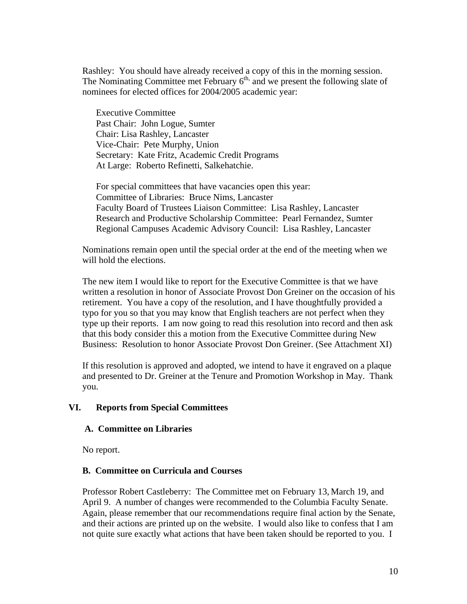Rashley: You should have already received a copy of this in the morning session. The Nominating Committee met February  $6<sup>th</sup>$ , and we present the following slate of nominees for elected offices for 2004/2005 academic year:

Executive Committee Past Chair: John Logue, Sumter Chair: Lisa Rashley, Lancaster Vice-Chair: Pete Murphy, Union Secretary: Kate Fritz, Academic Credit Programs At Large: Roberto Refinetti, Salkehatchie.

For special committees that have vacancies open this year: Committee of Libraries: Bruce Nims, Lancaster Faculty Board of Trustees Liaison Committee: Lisa Rashley, Lancaster Research and Productive Scholarship Committee: Pearl Fernandez, Sumter Regional Campuses Academic Advisory Council: Lisa Rashley, Lancaster

Nominations remain open until the special order at the end of the meeting when we will hold the elections.

The new item I would like to report for the Executive Committee is that we have written a resolution in honor of Associate Provost Don Greiner on the occasion of his retirement. You have a copy of the resolution, and I have thoughtfully provided a typo for you so that you may know that English teachers are not perfect when they type up their reports. I am now going to read this resolution into record and then ask that this body consider this a motion from the Executive Committee during New Business: Resolution to honor Associate Provost Don Greiner. (See Attachment XI)

If this resolution is approved and adopted, we intend to have it engraved on a plaque and presented to Dr. Greiner at the Tenure and Promotion Workshop in May. Thank you.

### **VI. Reports from Special Committees**

### **A. Committee on Libraries**

No report.

### **B. Committee on Curricula and Courses**

Professor Robert Castleberry: The Committee met on February 13, March 19, and April 9. A number of changes were recommended to the Columbia Faculty Senate. Again, please remember that our recommendations require final action by the Senate, and their actions are printed up on the website. I would also like to confess that I am not quite sure exactly what actions that have been taken should be reported to you. I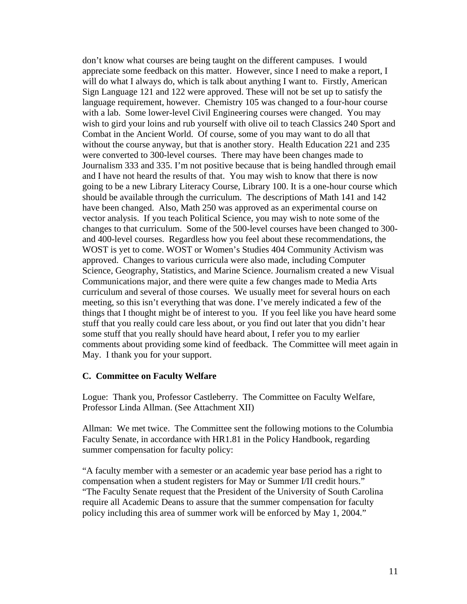don't know what courses are being taught on the different campuses. I would appreciate some feedback on this matter. However, since I need to make a report, I will do what I always do, which is talk about anything I want to. Firstly, American Sign Language 121 and 122 were approved. These will not be set up to satisfy the language requirement, however. Chemistry 105 was changed to a four-hour course with a lab. Some lower-level Civil Engineering courses were changed. You may wish to gird your loins and rub yourself with olive oil to teach Classics 240 Sport and Combat in the Ancient World. Of course, some of you may want to do all that without the course anyway, but that is another story. Health Education 221 and 235 were converted to 300-level courses. There may have been changes made to Journalism 333 and 335. I'm not positive because that is being handled through email and I have not heard the results of that. You may wish to know that there is now going to be a new Library Literacy Course, Library 100. It is a one-hour course which should be available through the curriculum. The descriptions of Math 141 and 142 have been changed. Also, Math 250 was approved as an experimental course on vector analysis. If you teach Political Science, you may wish to note some of the changes to that curriculum. Some of the 500-level courses have been changed to 300 and 400-level courses. Regardless how you feel about these recommendations, the WOST is yet to come. WOST or Women's Studies 404 Community Activism was approved. Changes to various curricula were also made, including Computer Science, Geography, Statistics, and Marine Science. Journalism created a new Visual Communications major, and there were quite a few changes made to Media Arts curriculum and several of those courses. We usually meet for several hours on each meeting, so this isn't everything that was done. I've merely indicated a few of the things that I thought might be of interest to you. If you feel like you have heard some stuff that you really could care less about, or you find out later that you didn't hear some stuff that you really should have heard about, I refer you to my earlier comments about providing some kind of feedback. The Committee will meet again in May. I thank you for your support.

#### **C. Committee on Faculty Welfare**

Logue: Thank you, Professor Castleberry. The Committee on Faculty Welfare, Professor Linda Allman. (See Attachment XII)

Allman: We met twice. The Committee sent the following motions to the Columbia Faculty Senate, in accordance with HR1.81 in the Policy Handbook, regarding summer compensation for faculty policy:

"A faculty member with a semester or an academic year base period has a right to compensation when a student registers for May or Summer I/II credit hours." "The Faculty Senate request that the President of the University of South Carolina require all Academic Deans to assure that the summer compensation for faculty

policy including this area of summer work will be enforced by May 1, 2004."

11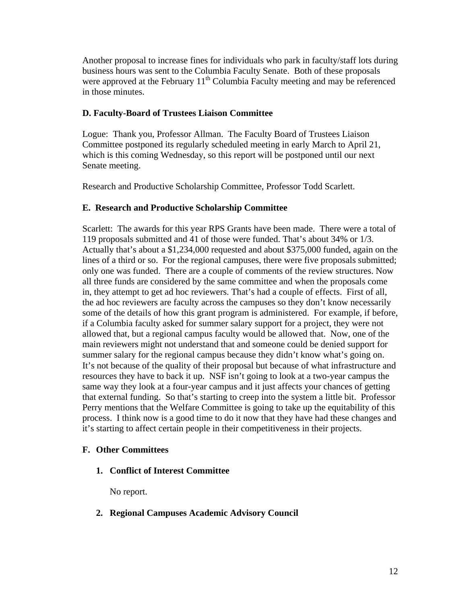Another proposal to increase fines for individuals who park in faculty/staff lots during business hours was sent to the Columbia Faculty Senate. Both of these proposals were approved at the February  $11<sup>th</sup>$  Columbia Faculty meeting and may be referenced in those minutes.

# **D. Faculty-Board of Trustees Liaison Committee**

Logue: Thank you, Professor Allman. The Faculty Board of Trustees Liaison Committee postponed its regularly scheduled meeting in early March to April 21, which is this coming Wednesday, so this report will be postponed until our next Senate meeting.

Research and Productive Scholarship Committee, Professor Todd Scarlett.

# **E. Research and Productive Scholarship Committee**

Scarlett: The awards for this year RPS Grants have been made. There were a total of 119 proposals submitted and 41 of those were funded. That's about 34% or 1/3. Actually that's about a \$1,234,000 requested and about \$375,000 funded, again on the lines of a third or so. For the regional campuses, there were five proposals submitted; only one was funded. There are a couple of comments of the review structures. Now all three funds are considered by the same committee and when the proposals come in, they attempt to get ad hoc reviewers. That's had a couple of effects. First of all, the ad hoc reviewers are faculty across the campuses so they don't know necessarily some of the details of how this grant program is administered. For example, if before, if a Columbia faculty asked for summer salary support for a project, they were not allowed that, but a regional campus faculty would be allowed that. Now, one of the main reviewers might not understand that and someone could be denied support for summer salary for the regional campus because they didn't know what's going on. It's not because of the quality of their proposal but because of what infrastructure and resources they have to back it up. NSF isn't going to look at a two-year campus the same way they look at a four-year campus and it just affects your chances of getting that external funding. So that's starting to creep into the system a little bit. Professor Perry mentions that the Welfare Committee is going to take up the equitability of this process. I think now is a good time to do it now that they have had these changes and it's starting to affect certain people in their competitiveness in their projects.

# **F. Other Committees**

**1. Conflict of Interest Committee** 

No report.

**2. Regional Campuses Academic Advisory Council**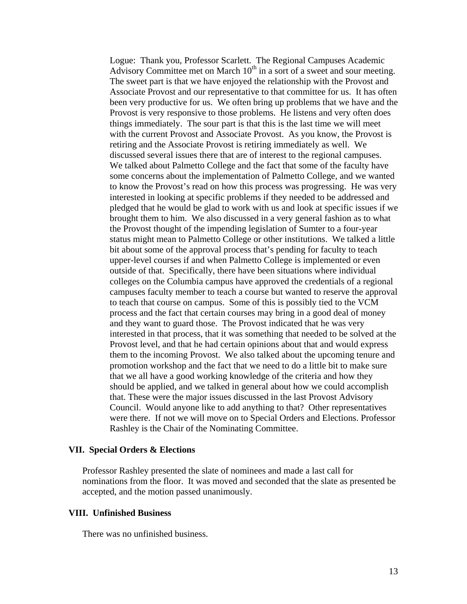Logue: Thank you, Professor Scarlett. The Regional Campuses Academic Advisory Committee met on March  $10<sup>th</sup>$  in a sort of a sweet and sour meeting. The sweet part is that we have enjoyed the relationship with the Provost and Associate Provost and our representative to that committee for us. It has often been very productive for us. We often bring up problems that we have and the Provost is very responsive to those problems. He listens and very often does things immediately. The sour part is that this is the last time we will meet with the current Provost and Associate Provost. As you know, the Provost is retiring and the Associate Provost is retiring immediately as well. We discussed several issues there that are of interest to the regional campuses. We talked about Palmetto College and the fact that some of the faculty have some concerns about the implementation of Palmetto College, and we wanted to know the Provost's read on how this process was progressing. He was very interested in looking at specific problems if they needed to be addressed and pledged that he would be glad to work with us and look at specific issues if we brought them to him. We also discussed in a very general fashion as to what the Provost thought of the impending legislation of Sumter to a four-year status might mean to Palmetto College or other institutions. We talked a little bit about some of the approval process that's pending for faculty to teach upper-level courses if and when Palmetto College is implemented or even outside of that. Specifically, there have been situations where individual colleges on the Columbia campus have approved the credentials of a regional campuses faculty member to teach a course but wanted to reserve the approval to teach that course on campus. Some of this is possibly tied to the VCM process and the fact that certain courses may bring in a good deal of money and they want to guard those. The Provost indicated that he was very interested in that process, that it was something that needed to be solved at the Provost level, and that he had certain opinions about that and would express them to the incoming Provost. We also talked about the upcoming tenure and promotion workshop and the fact that we need to do a little bit to make sure that we all have a good working knowledge of the criteria and how they should be applied, and we talked in general about how we could accomplish that. These were the major issues discussed in the last Provost Advisory Council. Would anyone like to add anything to that? Other representatives were there. If not we will move on to Special Orders and Elections. Professor Rashley is the Chair of the Nominating Committee.

#### **VII. Special Orders & Elections**

Professor Rashley presented the slate of nominees and made a last call for nominations from the floor. It was moved and seconded that the slate as presented be accepted, and the motion passed unanimously.

#### **VIII. Unfinished Business**

There was no unfinished business.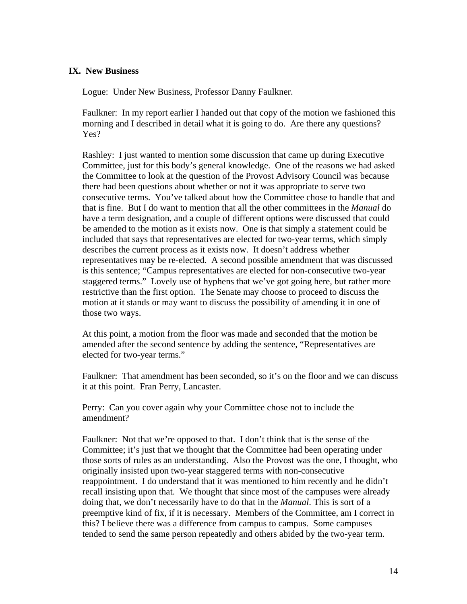### **IX. New Business**

Logue: Under New Business, Professor Danny Faulkner.

Faulkner: In my report earlier I handed out that copy of the motion we fashioned this morning and I described in detail what it is going to do. Are there any questions? Yes?

Rashley: I just wanted to mention some discussion that came up during Executive Committee, just for this body's general knowledge. One of the reasons we had asked the Committee to look at the question of the Provost Advisory Council was because there had been questions about whether or not it was appropriate to serve two consecutive terms. You've talked about how the Committee chose to handle that and that is fine. But I do want to mention that all the other committees in the *Manual* do have a term designation, and a couple of different options were discussed that could be amended to the motion as it exists now. One is that simply a statement could be included that says that representatives are elected for two-year terms, which simply describes the current process as it exists now. It doesn't address whether representatives may be re-elected. A second possible amendment that was discussed is this sentence; "Campus representatives are elected for non-consecutive two-year staggered terms." Lovely use of hyphens that we've got going here, but rather more restrictive than the first option. The Senate may choose to proceed to discuss the motion at it stands or may want to discuss the possibility of amending it in one of those two ways.

At this point, a motion from the floor was made and seconded that the motion be amended after the second sentence by adding the sentence, "Representatives are elected for two-year terms."

Faulkner: That amendment has been seconded, so it's on the floor and we can discuss it at this point. Fran Perry, Lancaster.

Perry: Can you cover again why your Committee chose not to include the amendment?

Faulkner: Not that we're opposed to that. I don't think that is the sense of the Committee; it's just that we thought that the Committee had been operating under those sorts of rules as an understanding. Also the Provost was the one, I thought, who originally insisted upon two-year staggered terms with non-consecutive reappointment. I do understand that it was mentioned to him recently and he didn't recall insisting upon that. We thought that since most of the campuses were already doing that, we don't necessarily have to do that in the *Manual*. This is sort of a preemptive kind of fix, if it is necessary. Members of the Committee, am I correct in this? I believe there was a difference from campus to campus. Some campuses tended to send the same person repeatedly and others abided by the two-year term.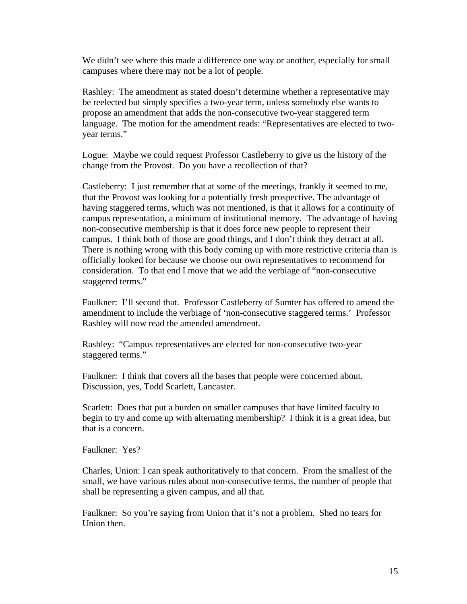We didn't see where this made a difference one way or another, especially for small campuses where there may not be a lot of people.

Rashley: The amendment as stated doesn't determine whether a representative may be reelected but simply specifies a two-year term, unless somebody else wants to propose an amendment that adds the non-consecutive two-year staggered term language. The motion for the amendment reads: "Representatives are elected to twoyear terms."

Logue: Maybe we could request Professor Castleberry to give us the history of the change from the Provost. Do you have a recollection of that?

Castleberry: I just remember that at some of the meetings, frankly it seemed to me, that the Provost was looking for a potentially fresh prospective. The advantage of having staggered terms, which was not mentioned, is that it allows for a continuity of campus representation, a minimum of institutional memory. The advantage of having non-consecutive membership is that it does force new people to represent their campus. I think both of those are good things, and I don't think they detract at all. There is nothing wrong with this body coming up with more restrictive criteria than is officially looked for because we choose our own representatives to recommend for consideration. To that end I move that we add the verbiage of "non-consecutive staggered terms."

Faulkner: I'll second that. Professor Castleberry of Sumter has offered to amend the amendment to include the verbiage of 'non-consecutive staggered terms.' Professor Rashley will now read the amended amendment.

Rashley: "Campus representatives are elected for non-consecutive two-year staggered terms."

Faulkner: I think that covers all the bases that people were concerned about. Discussion, yes, Todd Scarlett, Lancaster.

Scarlett: Does that put a burden on smaller campuses that have limited faculty to begin to try and come up with alternating membership? I think it is a great idea, but that is a concern.

Faulkner: Yes?

Charles, Union: I can speak authoritatively to that concern. From the smallest of the small, we have various rules about non-consecutive terms, the number of people that shall be representing a given campus, and all that.

Faulkner: So you're saying from Union that it's not a problem. Shed no tears for Union then.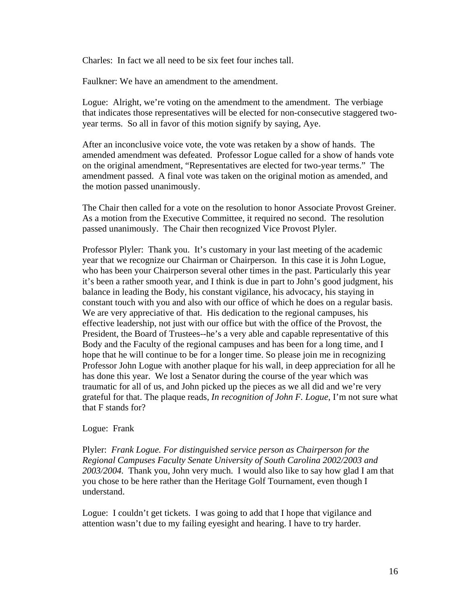Charles: In fact we all need to be six feet four inches tall.

Faulkner: We have an amendment to the amendment.

Logue: Alright, we're voting on the amendment to the amendment. The verbiage that indicates those representatives will be elected for non-consecutive staggered twoyear terms. So all in favor of this motion signify by saying, Aye.

After an inconclusive voice vote, the vote was retaken by a show of hands. The amended amendment was defeated. Professor Logue called for a show of hands vote on the original amendment, "Representatives are elected for two-year terms." The amendment passed. A final vote was taken on the original motion as amended, and the motion passed unanimously.

The Chair then called for a vote on the resolution to honor Associate Provost Greiner. As a motion from the Executive Committee, it required no second. The resolution passed unanimously. The Chair then recognized Vice Provost Plyler.

Professor Plyler: Thank you. It's customary in your last meeting of the academic year that we recognize our Chairman or Chairperson. In this case it is John Logue, who has been your Chairperson several other times in the past. Particularly this year it's been a rather smooth year, and I think is due in part to John's good judgment, his balance in leading the Body, his constant vigilance, his advocacy, his staying in constant touch with you and also with our office of which he does on a regular basis. We are very appreciative of that. His dedication to the regional campuses, his effective leadership, not just with our office but with the office of the Provost, the President, the Board of Trustees--he's a very able and capable representative of this Body and the Faculty of the regional campuses and has been for a long time, and I hope that he will continue to be for a longer time. So please join me in recognizing Professor John Logue with another plaque for his wall, in deep appreciation for all he has done this year. We lost a Senator during the course of the year which was traumatic for all of us, and John picked up the pieces as we all did and we're very grateful for that. The plaque reads, *In recognition of John F. Logue*, I'm not sure what that F stands for?

### Logue: Frank

Plyler: *Frank Logue. For distinguished service person as Chairperson for the Regional Campuses Faculty Senate University of South Carolina 2002/2003 and 2003/2004.* Thank you, John very much. I would also like to say how glad I am that you chose to be here rather than the Heritage Golf Tournament, even though I understand.

Logue: I couldn't get tickets. I was going to add that I hope that vigilance and attention wasn't due to my failing eyesight and hearing. I have to try harder.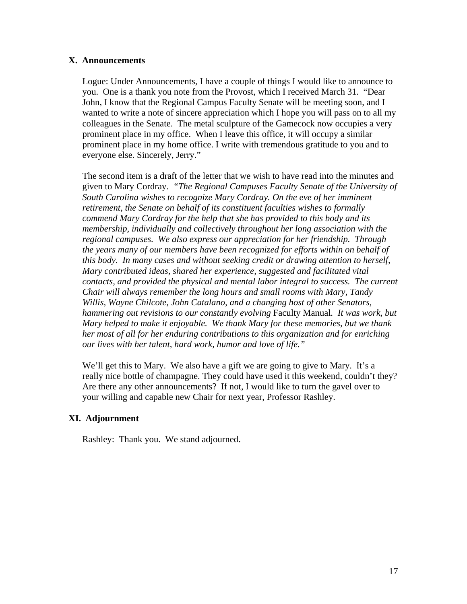### **X. Announcements**

Logue: Under Announcements, I have a couple of things I would like to announce to you. One is a thank you note from the Provost, which I received March 31. "Dear John, I know that the Regional Campus Faculty Senate will be meeting soon, and I wanted to write a note of sincere appreciation which I hope you will pass on to all my colleagues in the Senate. The metal sculpture of the Gamecock now occupies a very prominent place in my office. When I leave this office, it will occupy a similar prominent place in my home office. I write with tremendous gratitude to you and to everyone else. Sincerely, Jerry."

The second item is a draft of the letter that we wish to have read into the minutes and given to Mary Cordray. *"The Regional Campuses Faculty Senate of the University of South Carolina wishes to recognize Mary Cordray. On the eve of her imminent retirement, the Senate on behalf of its constituent faculties wishes to formally commend Mary Cordray for the help that she has provided to this body and its membership, individually and collectively throughout her long association with the regional campuses. We also express our appreciation for her friendship. Through the years many of our members have been recognized for efforts within on behalf of this body. In many cases and without seeking credit or drawing attention to herself, Mary contributed ideas, shared her experience, suggested and facilitated vital contacts, and provided the physical and mental labor integral to success. The current Chair will always remember the long hours and small rooms with Mary, Tandy Willis, Wayne Chilcote, John Catalano, and a changing host of other Senators, hammering out revisions to our constantly evolving* Faculty Manual*. It was work, but Mary helped to make it enjoyable. We thank Mary for these memories, but we thank her most of all for her enduring contributions to this organization and for enriching our lives with her talent, hard work, humor and love of life."*

We'll get this to Mary. We also have a gift we are going to give to Mary. It's a really nice bottle of champagne. They could have used it this weekend, couldn't they? Are there any other announcements? If not, I would like to turn the gavel over to your willing and capable new Chair for next year, Professor Rashley.

# **XI. Adjournment**

Rashley: Thank you. We stand adjourned.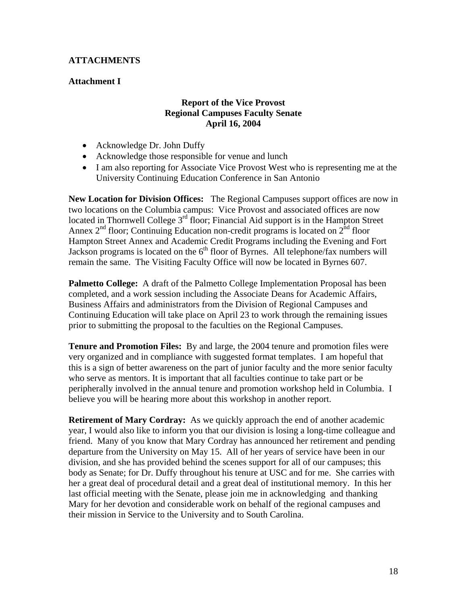# **ATTACHMENTS**

# **Attachment I**

# **Report of the Vice Provost Regional Campuses Faculty Senate April 16, 2004**

- Acknowledge Dr. John Duffy
- Acknowledge those responsible for venue and lunch
- I am also reporting for Associate Vice Provost West who is representing me at the University Continuing Education Conference in San Antonio

**New Location for Division Offices:** The Regional Campuses support offices are now in two locations on the Columbia campus: Vice Provost and associated offices are now located in Thornwell College  $3<sup>rd</sup>$  floor; Financial Aid support is in the Hampton Street Annex  $2<sup>nd</sup>$  floor; Continuing Education non-credit programs is located on  $2<sup>nd</sup>$  floor Hampton Street Annex and Academic Credit Programs including the Evening and Fort Jackson programs is located on the  $6<sup>th</sup>$  floor of Byrnes. All telephone/fax numbers will remain the same. The Visiting Faculty Office will now be located in Byrnes 607.

**Palmetto College:** A draft of the Palmetto College Implementation Proposal has been completed, and a work session including the Associate Deans for Academic Affairs, Business Affairs and administrators from the Division of Regional Campuses and Continuing Education will take place on April 23 to work through the remaining issues prior to submitting the proposal to the faculties on the Regional Campuses.

**Tenure and Promotion Files:** By and large, the 2004 tenure and promotion files were very organized and in compliance with suggested format templates. I am hopeful that this is a sign of better awareness on the part of junior faculty and the more senior faculty who serve as mentors. It is important that all faculties continue to take part or be peripherally involved in the annual tenure and promotion workshop held in Columbia. I believe you will be hearing more about this workshop in another report.

**Retirement of Mary Cordray:** As we quickly approach the end of another academic year, I would also like to inform you that our division is losing a long-time colleague and friend. Many of you know that Mary Cordray has announced her retirement and pending departure from the University on May 15. All of her years of service have been in our division, and she has provided behind the scenes support for all of our campuses; this body as Senate; for Dr. Duffy throughout his tenure at USC and for me. She carries with her a great deal of procedural detail and a great deal of institutional memory. In this her last official meeting with the Senate, please join me in acknowledging and thanking Mary for her devotion and considerable work on behalf of the regional campuses and their mission in Service to the University and to South Carolina.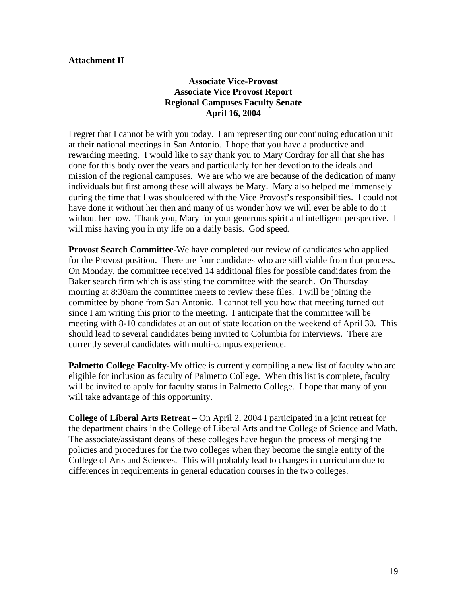### **Attachment II**

# **Associate Vice-Provost Associate Vice Provost Report Regional Campuses Faculty Senate April 16, 2004**

I regret that I cannot be with you today. I am representing our continuing education unit at their national meetings in San Antonio. I hope that you have a productive and rewarding meeting. I would like to say thank you to Mary Cordray for all that she has done for this body over the years and particularly for her devotion to the ideals and mission of the regional campuses. We are who we are because of the dedication of many individuals but first among these will always be Mary. Mary also helped me immensely during the time that I was shouldered with the Vice Provost's responsibilities. I could not have done it without her then and many of us wonder how we will ever be able to do it without her now. Thank you, Mary for your generous spirit and intelligent perspective. I will miss having you in my life on a daily basis. God speed.

**Provost Search Committee**-We have completed our review of candidates who applied for the Provost position. There are four candidates who are still viable from that process. On Monday, the committee received 14 additional files for possible candidates from the Baker search firm which is assisting the committee with the search. On Thursday morning at 8:30am the committee meets to review these files. I will be joining the committee by phone from San Antonio. I cannot tell you how that meeting turned out since I am writing this prior to the meeting. I anticipate that the committee will be meeting with 8-10 candidates at an out of state location on the weekend of April 30. This should lead to several candidates being invited to Columbia for interviews. There are currently several candidates with multi-campus experience.

**Palmetto College Faculty-**My office is currently compiling a new list of faculty who are eligible for inclusion as faculty of Palmetto College. When this list is complete, faculty will be invited to apply for faculty status in Palmetto College. I hope that many of you will take advantage of this opportunity.

**College of Liberal Arts Retreat –** On April 2, 2004 I participated in a joint retreat for the department chairs in the College of Liberal Arts and the College of Science and Math. The associate/assistant deans of these colleges have begun the process of merging the policies and procedures for the two colleges when they become the single entity of the College of Arts and Sciences. This will probably lead to changes in curriculum due to differences in requirements in general education courses in the two colleges.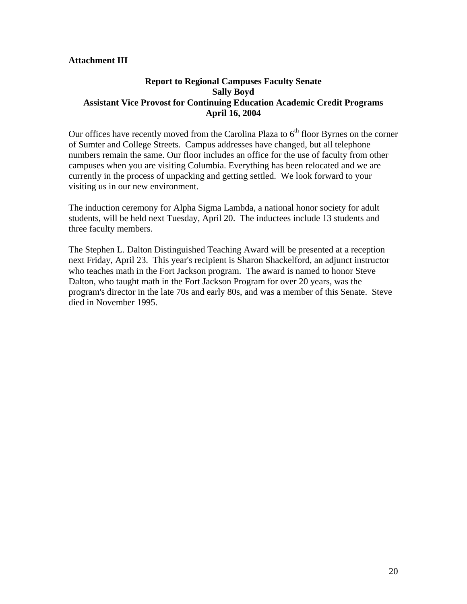## **Attachment III**

# **Report to Regional Campuses Faculty Senate Sally Boyd Assistant Vice Provost for Continuing Education Academic Credit Programs April 16, 2004**

Our offices have recently moved from the Carolina Plaza to  $6<sup>th</sup>$  floor Byrnes on the corner of Sumter and College Streets. Campus addresses have changed, but all telephone numbers remain the same. Our floor includes an office for the use of faculty from other campuses when you are visiting Columbia. Everything has been relocated and we are currently in the process of unpacking and getting settled. We look forward to your visiting us in our new environment.

The induction ceremony for Alpha Sigma Lambda, a national honor society for adult students, will be held next Tuesday, April 20. The inductees include 13 students and three faculty members.

The Stephen L. Dalton Distinguished Teaching Award will be presented at a reception next Friday, April 23. This year's recipient is Sharon Shackelford, an adjunct instructor who teaches math in the Fort Jackson program. The award is named to honor Steve Dalton, who taught math in the Fort Jackson Program for over 20 years, was the program's director in the late 70s and early 80s, and was a member of this Senate. Steve died in November 1995.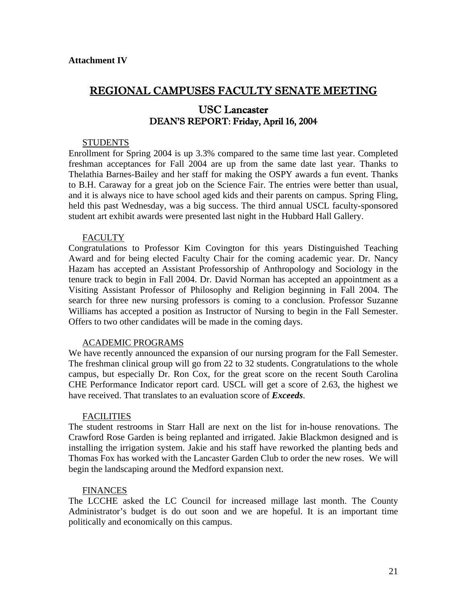# REGIONAL CAMPUSES FACULTY SENATE MEETING

# USC Lancaster DEAN'S REPORT: Friday, April 16, 2004

#### **STUDENTS**

Enrollment for Spring 2004 is up 3.3% compared to the same time last year. Completed freshman acceptances for Fall 2004 are up from the same date last year. Thanks to Thelathia Barnes-Bailey and her staff for making the OSPY awards a fun event. Thanks to B.H. Caraway for a great job on the Science Fair. The entries were better than usual, and it is always nice to have school aged kids and their parents on campus. Spring Fling, held this past Wednesday, was a big success. The third annual USCL faculty-sponsored student art exhibit awards were presented last night in the Hubbard Hall Gallery.

#### FACULTY

Congratulations to Professor Kim Covington for this years Distinguished Teaching Award and for being elected Faculty Chair for the coming academic year. Dr. Nancy Hazam has accepted an Assistant Professorship of Anthropology and Sociology in the tenure track to begin in Fall 2004. Dr. David Norman has accepted an appointment as a Visiting Assistant Professor of Philosophy and Religion beginning in Fall 2004. The search for three new nursing professors is coming to a conclusion. Professor Suzanne Williams has accepted a position as Instructor of Nursing to begin in the Fall Semester. Offers to two other candidates will be made in the coming days.

#### ACADEMIC PROGRAMS

We have recently announced the expansion of our nursing program for the Fall Semester. The freshman clinical group will go from 22 to 32 students. Congratulations to the whole campus, but especially Dr. Ron Cox, for the great score on the recent South Carolina CHE Performance Indicator report card. USCL will get a score of 2.63, the highest we have received. That translates to an evaluation score of *Exceeds*.

#### FACILITIES

The student restrooms in Starr Hall are next on the list for in-house renovations. The Crawford Rose Garden is being replanted and irrigated. Jakie Blackmon designed and is installing the irrigation system. Jakie and his staff have reworked the planting beds and Thomas Fox has worked with the Lancaster Garden Club to order the new roses. We will begin the landscaping around the Medford expansion next.

#### **FINANCES**

The LCCHE asked the LC Council for increased millage last month. The County Administrator's budget is do out soon and we are hopeful. It is an important time politically and economically on this campus.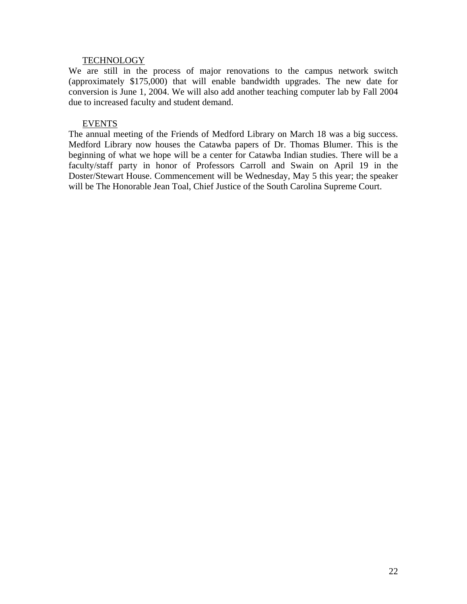#### **TECHNOLOGY**

We are still in the process of major renovations to the campus network switch (approximately \$175,000) that will enable bandwidth upgrades. The new date for conversion is June 1, 2004. We will also add another teaching computer lab by Fall 2004 due to increased faculty and student demand.

#### EVENTS

The annual meeting of the Friends of Medford Library on March 18 was a big success. Medford Library now houses the Catawba papers of Dr. Thomas Blumer. This is the beginning of what we hope will be a center for Catawba Indian studies. There will be a faculty/staff party in honor of Professors Carroll and Swain on April 19 in the Doster/Stewart House. Commencement will be Wednesday, May 5 this year; the speaker will be The Honorable Jean Toal, Chief Justice of the South Carolina Supreme Court.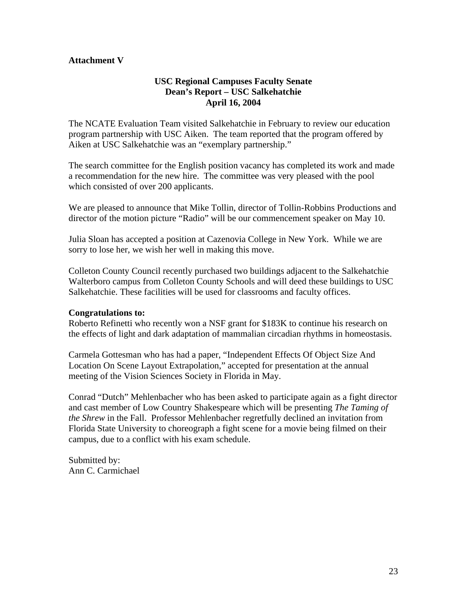## **Attachment V**

# **USC Regional Campuses Faculty Senate Dean's Report – USC Salkehatchie April 16, 2004**

The NCATE Evaluation Team visited Salkehatchie in February to review our education program partnership with USC Aiken. The team reported that the program offered by Aiken at USC Salkehatchie was an "exemplary partnership."

The search committee for the English position vacancy has completed its work and made a recommendation for the new hire. The committee was very pleased with the pool which consisted of over 200 applicants.

We are pleased to announce that Mike Tollin, director of Tollin-Robbins Productions and director of the motion picture "Radio" will be our commencement speaker on May 10.

Julia Sloan has accepted a position at Cazenovia College in New York. While we are sorry to lose her, we wish her well in making this move.

Colleton County Council recently purchased two buildings adjacent to the Salkehatchie Walterboro campus from Colleton County Schools and will deed these buildings to USC Salkehatchie. These facilities will be used for classrooms and faculty offices.

### **Congratulations to:**

Roberto Refinetti who recently won a NSF grant for \$183K to continue his research on the effects of light and dark adaptation of mammalian circadian rhythms in homeostasis.

Carmela Gottesman who has had a paper, "Independent Effects Of Object Size And Location On Scene Layout Extrapolation," accepted for presentation at the annual meeting of the Vision Sciences Society in Florida in May.

Conrad "Dutch" Mehlenbacher who has been asked to participate again as a fight director and cast member of Low Country Shakespeare which will be presenting *The Taming of the Shrew* in the Fall. Professor Mehlenbacher regretfully declined an invitation from Florida State University to choreograph a fight scene for a movie being filmed on their campus, due to a conflict with his exam schedule.

Submitted by: Ann C. Carmichael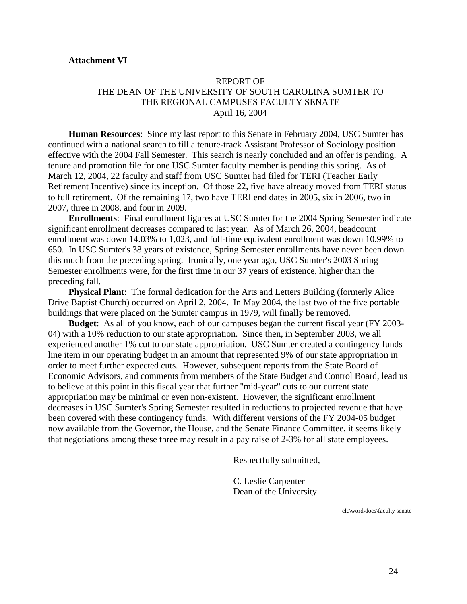#### **Attachment VI**

### REPORT OF THE DEAN OF THE UNIVERSITY OF SOUTH CAROLINA SUMTER TO THE REGIONAL CAMPUSES FACULTY SENATE April 16, 2004

**Human Resources**: Since my last report to this Senate in February 2004, USC Sumter has continued with a national search to fill a tenure-track Assistant Professor of Sociology position effective with the 2004 Fall Semester. This search is nearly concluded and an offer is pending. A tenure and promotion file for one USC Sumter faculty member is pending this spring. As of March 12, 2004, 22 faculty and staff from USC Sumter had filed for TERI (Teacher Early Retirement Incentive) since its inception. Of those 22, five have already moved from TERI status to full retirement. Of the remaining 17, two have TERI end dates in 2005, six in 2006, two in 2007, three in 2008, and four in 2009.

**Enrollments**: Final enrollment figures at USC Sumter for the 2004 Spring Semester indicate significant enrollment decreases compared to last year. As of March 26, 2004, headcount enrollment was down 14.03% to 1,023, and full-time equivalent enrollment was down 10.99% to 650. In USC Sumter's 38 years of existence, Spring Semester enrollments have never been down this much from the preceding spring. Ironically, one year ago, USC Sumter's 2003 Spring Semester enrollments were, for the first time in our 37 years of existence, higher than the preceding fall.

**Physical Plant**: The formal dedication for the Arts and Letters Building (formerly Alice Drive Baptist Church) occurred on April 2, 2004. In May 2004, the last two of the five portable buildings that were placed on the Sumter campus in 1979, will finally be removed.

**Budget**: As all of you know, each of our campuses began the current fiscal year (FY 2003- 04) with a 10% reduction to our state appropriation. Since then, in September 2003, we all experienced another 1% cut to our state appropriation. USC Sumter created a contingency funds line item in our operating budget in an amount that represented 9% of our state appropriation in order to meet further expected cuts. However, subsequent reports from the State Board of Economic Advisors, and comments from members of the State Budget and Control Board, lead us to believe at this point in this fiscal year that further "mid-year" cuts to our current state appropriation may be minimal or even non-existent. However, the significant enrollment decreases in USC Sumter's Spring Semester resulted in reductions to projected revenue that have been covered with these contingency funds. With different versions of the FY 2004-05 budget now available from the Governor, the House, and the Senate Finance Committee, it seems likely that negotiations among these three may result in a pay raise of 2-3% for all state employees.

Respectfully submitted,

 C. Leslie Carpenter Dean of the University

clc\word\docs\faculty senate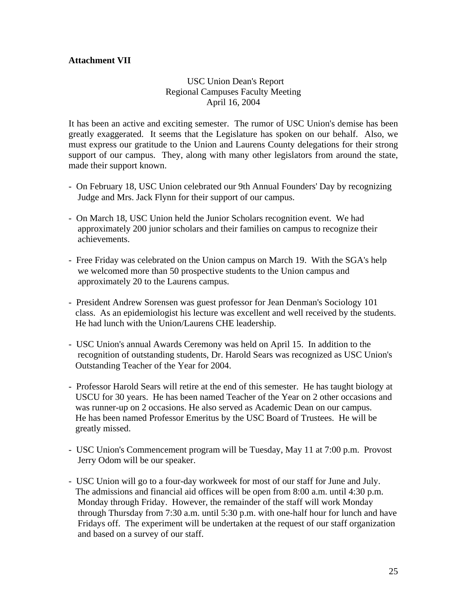# **Attachment VII**

### **USC Union Dean's Report** Regional Campuses Faculty Meeting April 16, 2004

It has been an active and exciting semester. The rumor of USC Union's demise has been greatly exaggerated. It seems that the Legislature has spoken on our behalf. Also, we must express our gratitude to the Union and Laurens County delegations for their strong support of our campus. They, along with many other legislators from around the state, made their support known.

- On February 18, USC Union celebrated our 9th Annual Founders' Day by recognizing Judge and Mrs. Jack Flynn for their support of our campus.
- On March 18, USC Union held the Junior Scholars recognition event. We had approximately 200 junior scholars and their families on campus to recognize their achievements.
- Free Friday was celebrated on the Union campus on March 19. With the SGA's help we welcomed more than 50 prospective students to the Union campus and approximately 20 to the Laurens campus.
- President Andrew Sorensen was guest professor for Jean Denman's Sociology 101 class. As an epidemiologist his lecture was excellent and well received by the students. He had lunch with the Union/Laurens CHE leadership.
- USC Union's annual Awards Ceremony was held on April 15. In addition to the recognition of outstanding students, Dr. Harold Sears was recognized as USC Union's Outstanding Teacher of the Year for 2004.
- Professor Harold Sears will retire at the end of this semester. He has taught biology at USCU for 30 years. He has been named Teacher of the Year on 2 other occasions and was runner-up on 2 occasions. He also served as Academic Dean on our campus. He has been named Professor Emeritus by the USC Board of Trustees. He will be greatly missed.
- USC Union's Commencement program will be Tuesday, May 11 at 7:00 p.m. Provost Jerry Odom will be our speaker.
- USC Union will go to a four-day workweek for most of our staff for June and July. The admissions and financial aid offices will be open from 8:00 a.m. until 4:30 p.m. Monday through Friday. However, the remainder of the staff will work Monday through Thursday from 7:30 a.m. until 5:30 p.m. with one-half hour for lunch and have Fridays off. The experiment will be undertaken at the request of our staff organization and based on a survey of our staff.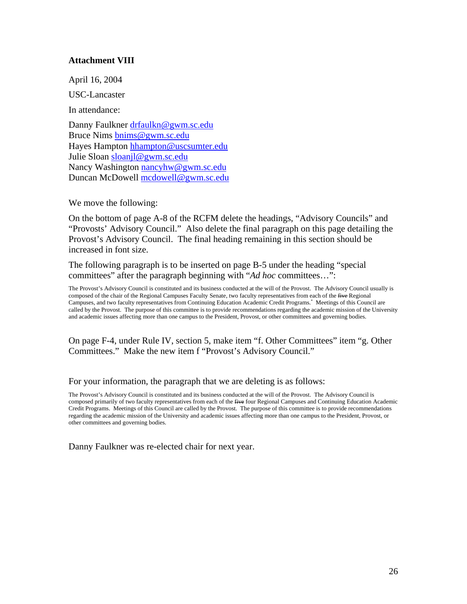### **Attachment VIII**

April 16, 2004

USC-Lancaster

In attendance:

Danny Faulkner [drfaulkn@gwm.sc.edu](mailto:drfaulkn@gwm.sc.edu) Bruce Nims [bnims@gwm.sc.edu](mailto:bnims@gwm.sc.edu) Hayes Hampton [hhampton@uscsumter.edu](mailto:hhampton@uscsumter.edu) Julie Sloan [sloanjl@gwm.sc.edu](mailto:sloanjl@gwm.sc.edu) Nancy Washington [nancyhw@gwm.sc.edu](mailto:nancyhw@gwm.sc.edu) Duncan McDowell [mcdowell@gwm.sc.edu](mailto:mcdowell@gwm.sc.edu)

We move the following:

On the bottom of page A-8 of the RCFM delete the headings, "Advisory Councils" and "Provosts' Advisory Council." Also delete the final paragraph on this page detailing the Provost's Advisory Council. The final heading remaining in this section should be increased in font size.

The following paragraph is to be inserted on page B-5 under the heading "special committees" after the paragraph beginning with "*Ad hoc* committees…":

The Provost's Advisory Council is constituted and its business conducted at the will of the Provost. The Advisory Council usually is composed of the chair of the Regional Campuses Faculty Senate, two faculty representatives from each of the five Regional Campuses, and two faculty representatives from Continuing Education Academic Credit Programs.\* Meetings of this Council are called by the Provost. The purpose of this committee is to provide recommendations regarding the academic mission of the University and academic issues affecting more than one campus to the President, Provost, or other committees and governing bodies.

On page F-4, under Rule IV, section 5, make item "f. Other Committees" item "g. Other Committees." Make the new item f "Provost's Advisory Council."

For your information, the paragraph that we are deleting is as follows:

The Provost's Advisory Council is constituted and its business conducted at the will of the Provost. The Advisory Council is composed primarily of two faculty representatives from each of the five four Regional Campuses and Continuing Education Academic Credit Programs. Meetings of this Council are called by the Provost. The purpose of this committee is to provide recommendations regarding the academic mission of the University and academic issues affecting more than one campus to the President, Provost, or other committees and governing bodies.

Danny Faulkner was re-elected chair for next year.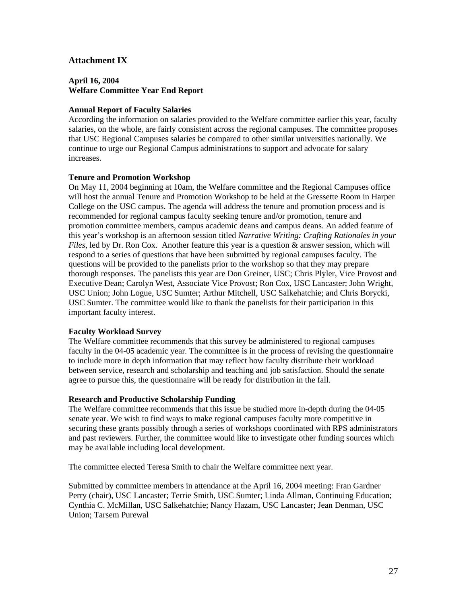#### **Attachment IX**

#### **April 16, 2004 Welfare Committee Year End Report**

#### **Annual Report of Faculty Salaries**

According the information on salaries provided to the Welfare committee earlier this year, faculty salaries, on the whole, are fairly consistent across the regional campuses. The committee proposes that USC Regional Campuses salaries be compared to other similar universities nationally. We continue to urge our Regional Campus administrations to support and advocate for salary increases.

#### **Tenure and Promotion Workshop**

On May 11, 2004 beginning at 10am, the Welfare committee and the Regional Campuses office will host the annual Tenure and Promotion Workshop to be held at the Gressette Room in Harper College on the USC campus. The agenda will address the tenure and promotion process and is recommended for regional campus faculty seeking tenure and/or promotion, tenure and promotion committee members, campus academic deans and campus deans. An added feature of this year's workshop is an afternoon session titled *Narrative Writing: Crafting Rationales in your Files*, led by Dr. Ron Cox. Another feature this year is a question & answer session, which will respond to a series of questions that have been submitted by regional campuses faculty. The questions will be provided to the panelists prior to the workshop so that they may prepare thorough responses. The panelists this year are Don Greiner, USC; Chris Plyler, Vice Provost and Executive Dean; Carolyn West, Associate Vice Provost; Ron Cox, USC Lancaster; John Wright, USC Union; John Logue, USC Sumter; Arthur Mitchell, USC Salkehatchie; and Chris Borycki, USC Sumter. The committee would like to thank the panelists for their participation in this important faculty interest.

#### **Faculty Workload Survey**

The Welfare committee recommends that this survey be administered to regional campuses faculty in the 04-05 academic year. The committee is in the process of revising the questionnaire to include more in depth information that may reflect how faculty distribute their workload between service, research and scholarship and teaching and job satisfaction. Should the senate agree to pursue this, the questionnaire will be ready for distribution in the fall.

#### **Research and Productive Scholarship Funding**

The Welfare committee recommends that this issue be studied more in-depth during the 04-05 senate year. We wish to find ways to make regional campuses faculty more competitive in securing these grants possibly through a series of workshops coordinated with RPS administrators and past reviewers. Further, the committee would like to investigate other funding sources which may be available including local development.

The committee elected Teresa Smith to chair the Welfare committee next year.

Submitted by committee members in attendance at the April 16, 2004 meeting: Fran Gardner Perry (chair), USC Lancaster; Terrie Smith, USC Sumter; Linda Allman, Continuing Education; Cynthia C. McMillan, USC Salkehatchie; Nancy Hazam, USC Lancaster; Jean Denman, USC Union; Tarsem Purewal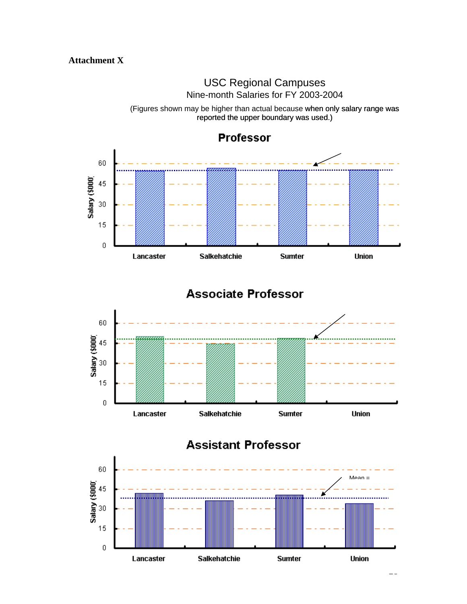# USC Regional Campuses Nine-month Salaries for FY 2003-2004



(Figures shown may be higher than actual because when only salary range was reported the upper boundary was used.)

# **Associate Professor**





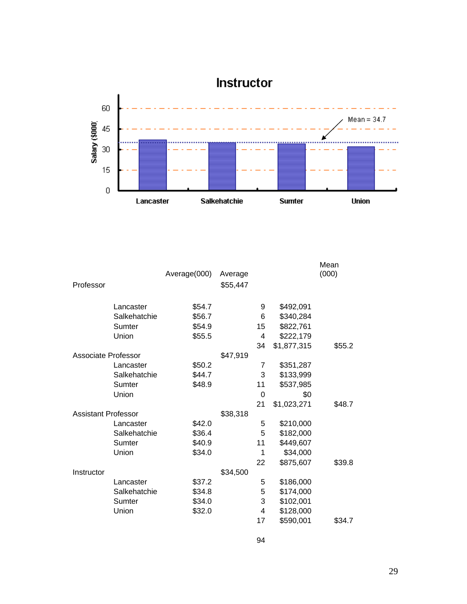

|                            |              | Average(000) | Average  |    |             | Mean<br>(000) |
|----------------------------|--------------|--------------|----------|----|-------------|---------------|
| Professor                  |              |              | \$55,447 |    |             |               |
|                            | Lancaster    | \$54.7       |          | 9  | \$492,091   |               |
|                            | Salkehatchie | \$56.7       |          | 6  | \$340,284   |               |
|                            | Sumter       | \$54.9       |          | 15 | \$822,761   |               |
|                            | Union        | \$55.5       |          | 4  | \$222,179   |               |
|                            |              |              |          | 34 | \$1,877,315 | \$55.2        |
| <b>Associate Professor</b> |              |              | \$47,919 |    |             |               |
|                            | Lancaster    | \$50.2       |          | 7  | \$351,287   |               |
|                            | Salkehatchie | \$44.7       |          | 3  | \$133,999   |               |
|                            | Sumter       | \$48.9       |          | 11 | \$537,985   |               |
|                            | Union        |              |          | 0  | \$0         |               |
|                            |              |              |          | 21 | \$1,023,271 | \$48.7        |
| <b>Assistant Professor</b> |              |              | \$38,318 |    |             |               |
|                            | Lancaster    | \$42.0       |          | 5  | \$210,000   |               |
|                            | Salkehatchie | \$36.4       |          | 5  | \$182,000   |               |
|                            | Sumter       | \$40.9       |          | 11 | \$449,607   |               |
|                            | Union        | \$34.0       |          | 1  | \$34,000    |               |
|                            |              |              |          | 22 | \$875,607   | \$39.8        |
| Instructor                 |              |              | \$34,500 |    |             |               |
|                            | Lancaster    | \$37.2       |          | 5  | \$186,000   |               |
|                            | Salkehatchie | \$34.8       |          | 5  | \$174,000   |               |
|                            | Sumter       | \$34.0       |          | 3  | \$102,001   |               |
|                            | Union        | \$32.0       |          | 4  | \$128,000   |               |
|                            |              |              |          | 17 | \$590,001   | \$34.7        |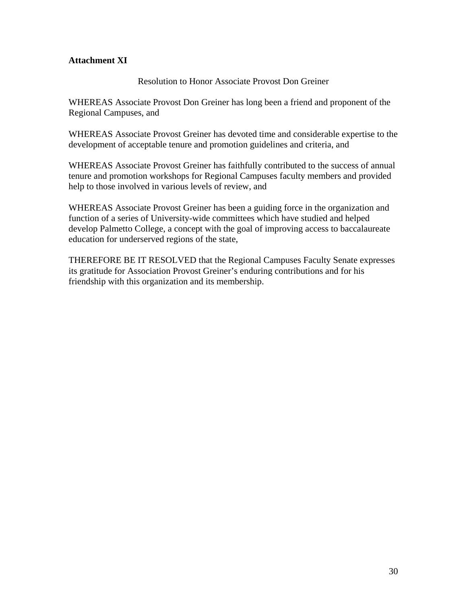# **Attachment XI**

# Resolution to Honor Associate Provost Don Greiner

WHEREAS Associate Provost Don Greiner has long been a friend and proponent of the Regional Campuses, and

WHEREAS Associate Provost Greiner has devoted time and considerable expertise to the development of acceptable tenure and promotion guidelines and criteria, and

WHEREAS Associate Provost Greiner has faithfully contributed to the success of annual tenure and promotion workshops for Regional Campuses faculty members and provided help to those involved in various levels of review, and

WHEREAS Associate Provost Greiner has been a guiding force in the organization and function of a series of University-wide committees which have studied and helped develop Palmetto College, a concept with the goal of improving access to baccalaureate education for underserved regions of the state,

THEREFORE BE IT RESOLVED that the Regional Campuses Faculty Senate expresses its gratitude for Association Provost Greiner's enduring contributions and for his friendship with this organization and its membership.